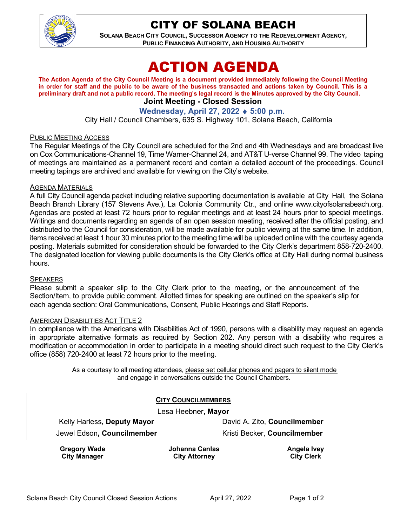

## CITY OF SOLANA BEACH

**SOLANA BEACH CITY COUNCIL, SUCCESSOR AGENCY TO THE REDEVELOPMENT AGENCY, PUBLIC FINANCING AUTHORITY, AND HOUSING AUTHORITY** 

# ACTION AGENDA

**The Action Agenda of the City Council Meeting is a document provided immediately following the Council Meeting in order for staff and the public to be aware of the business transacted and actions taken by Council. This is a preliminary draft and not a public record. The meeting's legal record is the Minutes approved by the City Council. Joint Meeting - Closed Session**

### **Wednesday, April 27, 2022** ♦ **5:00 p.m.**

City Hall / Council Chambers, 635 S. Highway 101, Solana Beach, California

#### PUBLIC MEETING ACCESS

The Regular Meetings of the City Council are scheduled for the 2nd and 4th Wednesdays and are broadcast live on Cox Communications-Channel 19, Time Warner-Channel 24, and AT&T U-verse Channel 99. The video taping of meetings are maintained as a permanent record and contain a detailed account of the proceedings. Council meeting tapings are archived and available for viewing on the City's website.

#### AGENDA MATERIALS

A full City Council agenda packet including relative supporting documentation is available at City Hall, the Solana Beach Branch Library (157 Stevens Ave.), La Colonia Community Ctr., and online [www.cityofsolanabeach.org.](http://www.cityofsolanabeach.org/) Agendas are posted at least 72 hours prior to regular meetings and at least 24 hours prior to special meetings. Writings and documents regarding an agenda of an open session meeting, received after the official posting, and distributed to the Council for consideration, will be made available for public viewing at the same time. In addition, items received at least 1 hour 30 minutes prior to the meeting time will be uploaded online with the courtesy agenda posting. Materials submitted for consideration should be forwarded to the City Clerk's department 858-720-2400. The designated location for viewing public documents is the City Clerk's office at City Hall during normal business hours.

#### **SPEAKERS**

Please submit a speaker slip to the City Clerk prior to the meeting, or the announcement of the Section/Item, to provide public comment. Allotted times for speaking are outlined on the speaker's slip for each agenda section: Oral Communications, Consent, Public Hearings and Staff Reports.

#### AMERICAN DISABILITIES ACT TITLE 2

In compliance with the Americans with Disabilities Act of 1990, persons with a disability may request an agenda in appropriate alternative formats as required by Section 202. Any person with a disability who requires a modification or accommodation in order to participate in a meeting should direct such request to the City Clerk's office (858) 720-2400 at least 72 hours prior to the meeting.

> As a courtesy to all meeting attendees, please set cellular phones and pagers to silent mode and engage in conversations outside the Council Chambers.

| <b>CITY COUNCILMEMBERS</b>                 |                                        |                                         |
|--------------------------------------------|----------------------------------------|-----------------------------------------|
| Lesa Heebner, Mayor                        |                                        |                                         |
| Kelly Harless, Deputy Mayor                |                                        | David A. Zito, Councilmember            |
| Jewel Edson, Councilmember                 |                                        | Kristi Becker, Councilmember            |
| <b>Gregory Wade</b><br><b>City Manager</b> | Johanna Canlas<br><b>City Attorney</b> | <b>Angela Ivey</b><br><b>City Clerk</b> |